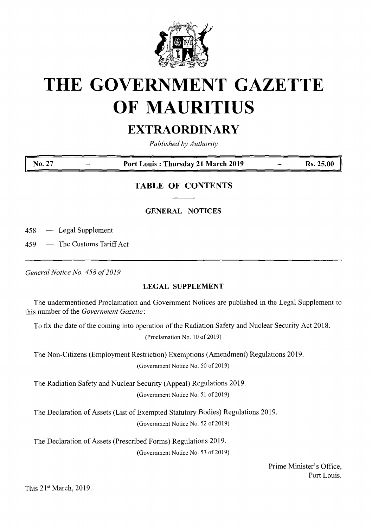

# **THE GOVERNMENT GAZETTE OF MAURITIUS**

# **EXTRAORDINARY**

*Published by Authority*

### **No. 27 Port Louis : Thursday 21 March 2019 Rs. 25.00**

# **TABLE OF CONTENTS**

## **GENERAL NOTICES**

458 — Legal Supplement

459 — The Customs Tariff Act

*GeneralNotice No. 458 of2019*

### **LEGAL SUPPLEMENT**

The undermentioned Proclamation and Government Notices are published in the Legal Supplement to this number of the *Government Gazette*:

To fix the date of the coming into operation of the Radiation Safety and Nuclear Security Act 2018.

(Proclamation No. 10 of 2019)

The Non-Citizens (Employment Restriction) Exemptions (Amendment) Regulations 2019. (Government Notice No. 50 of 2019)

The Radiation Safety and Nuclear Security (Appeal) Regulations 2019.

(Government Notice No. 51 of 2019)

The Declaration of Assets (List of Exempted Statutory Bodies) Regulations 2019. (Government Notice No. 52 of 2019)

The Declaration of Assets (Prescribed Forms) Regulations 2019. (Government Notice No. 53 of 2019)

> Prime Minister's Office, Port Louis.

This 21st March, 2019.